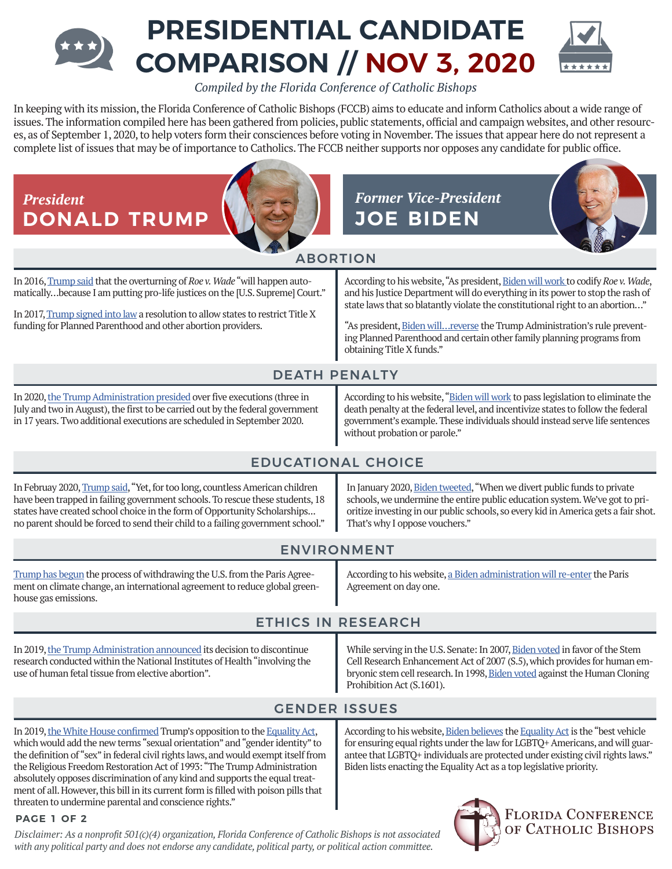# **PRESIDENTIAL CANDIDATE COMPARISON // NOV 3, 2020**

*Compiled by the Florida Conference of Catholic Bishops* 

In keeping with its mission, the Florida Conference of Catholic Bishops (FCCB) aims to educate and inform Catholics about a wide range of issues. The information compiled here has been gathered from policies, public statements, official and campaign websites, and other resources, as of September 1, 2020, to help voters form their consciences before voting in November. The issues that appear here do not represent a complete list of issues that may be of importance to Catholics. The FCCB neither supports nor opposes any candidate for public office.

**DONALD TRUMP JOE BIDEN**







## ABORTION

In 2016, [Trump said](https://www.cnbc.com/2016/10/19/trump-ill-appoint-supreme-court-justices-to-overturn-roe-v-wade-abortion-case.html) that the overturning of *Roe v. Wade* "will happen automatically…because I am putting pro-life justices on the [U.S. Supreme] Court."

In 2017, [Trump signed into law](https://www.whitehouse.gov/briefings-statements/president-donald-j-trump-signs-h-j-res-43-law/) a resolution to allow states to restrict Title X funding for Planned Parenthood and other abortion providers.

According to his website, "As president, [Biden will work](https://joebiden.com/healthcare/#) to codify *Roe v. Wade*, and his Justice Department will do everything in its power to stop the rash of state laws that so blatantly violate the constitutional right to an abortion…"

"As president, Biden will... reverse the Trump Administration's rule preventing Planned Parenthood and certain other family planning programs from obtaining Title X funds."

## DEATH PENALTY

In 2020, [the Trump Administration presided](https://www.justice.gov/opa/pr/federal-government-resume-capital-punishment-after-nearly-two-decade-lapse) over five executions (three in July and two in August), the first to be carried out by the federal government in 17 years. Two additional executions are scheduled in September 2020.

According to his website, ["Biden will work](https://joebiden.com/justice/) to pass legislation to eliminate the death penalty at the federal level, and incentivize states to follow the federal government's example. These individuals should instead serve life sentences without probation or parole."

## EDUCATIONAL CHOICE

In Februay 2020, [Trump said](https://www.whitehouse.gov/briefings-statements/remarks-president-trump-state-union-address-3/), "Yet, for too long, countless American children have been trapped in failing government schools. To rescue these students, 18 states have created school choice in the form of Opportunity Scholarships... no parent should be forced to send their child to a failing government school."

In January 2020, [Biden tweeted](https://twitter.com/joebiden/status/1220182792304308225?lang=en), "When we divert public funds to private schools, we undermine the entire public education system. We've got to prioritize investing in our public schools, so every kid in America gets a fair shot. That's why I oppose vouchers."

## ENVIRONMENT

[Trump has begun](https://www.promiseskept.com/achievement/overview/energy-and-environment/) the process of withdrawing the U.S. from the Paris Agreement on climate change, an international agreement to reduce global greenhouse gas emissions.

According to his website, [a Biden administration will re-enter](https://joebiden.com/climate-plan/) the Paris Agreement on day one.

## ETHICS IN RESEARCH

In 2019, the Trump Administration announced its decision to discontinue research conducted within the National Institutes of Health"involving the use of human fetal tissue from elective abortion".

While serving in the U.S. Senate: In 2007, [Biden voted](https://www.senate.gov/legislative/LIS/roll_call_lists/roll_call_vote_cfm.cfm?congress=110&session=1&vote=00127) in favor of the Stem Cell Research Enhancement Act of 2007 (S.5), which provides for human em-bryonic stem cell research. In 1998, [Biden voted](https://www.senate.gov/legislative/LIS/roll_call_lists/roll_call_vote_cfm.cfm?congress=105&session=2&vote=00010) against the Human Cloning Prohibition Act (S.1601).

According to his website, [Biden believes](https://joebiden.com/lgbtq/) the [Equality Act](https://www.congress.gov/bill/116th-congress/house-bill/5/text) is the "best vehicle for ensuring equal rights under the law for LGBTQ+ Americans, and will guar-

## GENDER ISSUES

In 2019, [the White House confirmed](https://www.nbcnews.com/feature/nbc-out/trump-opposes-federal-lgbtq-nondiscrimination-bill-citing-poison-pills-n1005551) Trump's opposition to the [Equality Act](https://www.congress.gov/bill/116th-congress/house-bill/5/text), which would add the new terms "sexual orientation" and "gender identity" to the definition of "sex" in federal civil rights laws, and would exempt itself from the Religious Freedom Restoration Act of 1993: "The Trump Administration absolutely opposes discrimination of any kind and supports the equal treatment of all. However, this bill in its current form is filled with poison pills that threaten to undermine parental and conscience rights."

#### **PAGE 1 OF 2**

*Disclaimer: As a nonprofit 501(c)(4) organization, Florida Conference of Catholic Bishops is not associated with any political party and does not endorse any candidate, political party, or political action committee.*



OF CATHOLIC BISHOPS